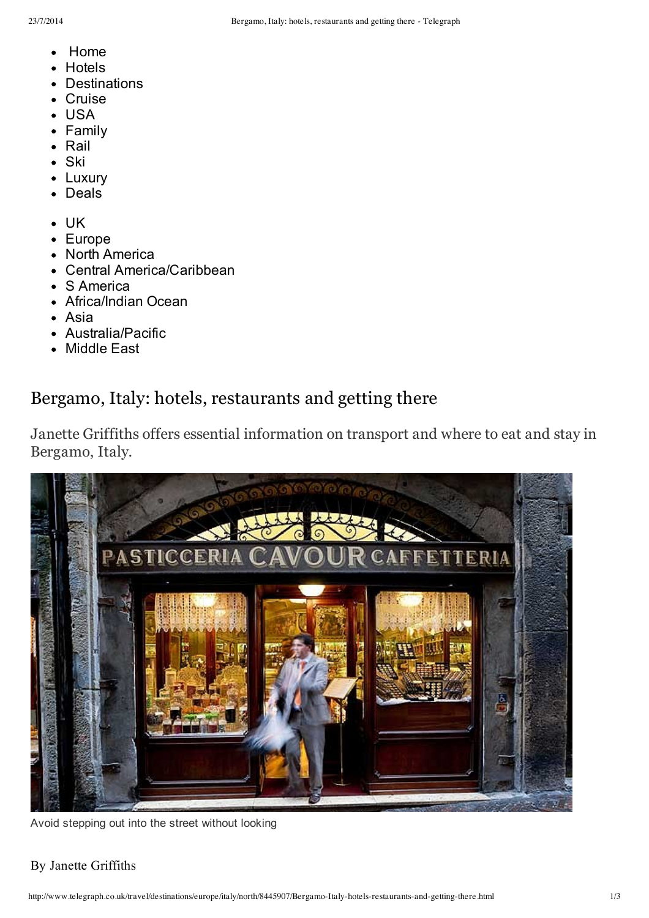- [Home](http://www.telegraph.co.uk/travel/)
- **[Hotels](http://www.telegraph.co.uk/travel/hotels/)**  $\bullet$
- [Destinations](http://www.telegraph.co.uk/travel/destinations/)
- [Cruise](http://www.telegraph.co.uk/travel/cruises/)
- [USA](http://www.telegraph.co.uk/travel/destinations/northamerica/usa/)  $\bullet$
- [Family](http://www.telegraph.co.uk/travel/familyholidays/)
- [Rail](http://www.telegraph.co.uk/travel/journeysbyrail/)
- [Ski](http://www.telegraph.co.uk/travel/snowandski/)
- [Luxury](http://www.telegraph.co.uk/travel/ultratravel/)  $\bullet$
- [Deals](http://www.telegraph.co.uk/travel/deal/)  $\bullet$
- [UK](http://www.telegraph.co.uk/travel/destinations/europe/uk/)  $\bullet$
- [Europe](http://www.telegraph.co.uk/travel/destinations/europe/)
- North [America](http://www.telegraph.co.uk/travel/destinations/northamerica/)
- Central [America/Caribbean](http://www.telegraph.co.uk/travel/destinations/centralamericaandcaribbean/)  $\bullet$
- S [America](http://www.telegraph.co.uk/travel/destinations/southamerica/)
- [Africa/Indian](http://www.telegraph.co.uk/travel/destinations/africaandindianocean/) Ocean
- [Asia](http://www.telegraph.co.uk/travel/destinations/asia/)
- [Australia/Pacific](http://www.telegraph.co.uk/travel/destinations/australiaandpacific/)
- [Middle](http://www.telegraph.co.uk/travel/destinations/middleeast/) East  $\bullet$

# Bergamo, Italy: hotels, restaurants and getting there

Janette Griffiths offers essential information on transport and where to eat and stay in Bergamo, Italy.



Avoid stepping out into the street without looking

# By Janette Griffiths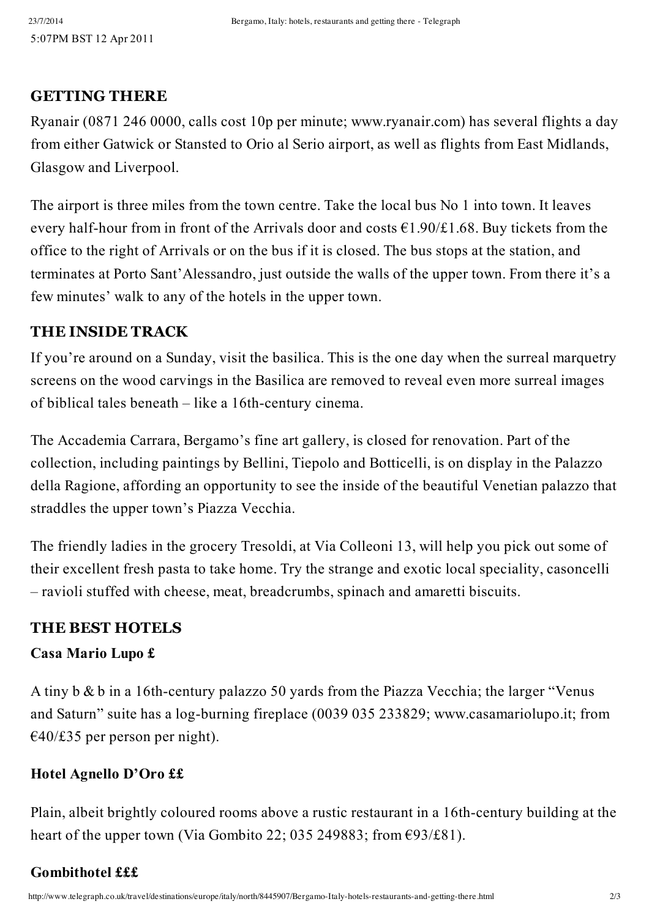# **GETTING THERE**

Ryanair (0871 246 0000, calls cost 10p per minute; [www.ryanair.com](http://www.ryanair.com/)) has several flights a day from either Gatwick or Stansted to Orio al Serio airport, as well as flights from East Midlands, Glasgow and Liverpool.

The airport is three miles from the town centre. Take the local bus No 1 into town. It leaves every half-hour from in front of the Arrivals door and costs  $\epsilon$ 1.90/£1.68. Buy tickets from the office to the right of Arrivals or on the bus if it is closed. The bus stops at the station, and terminates at Porto Sant'Alessandro, just outside the walls of the upper town. From there it's a few minutes' walk to any of the hotels in the upper town.

# **THE INSIDE TRACK**

If you're around on a Sunday, visit the basilica. This is the one day when the surreal marquetry screens on the wood carvings in the Basilica are removed to reveal even more surreal images of biblical tales beneath  $-$  like a 16th-century cinema.

The Accademia Carrara, Bergamo's fine art gallery, is closed for renovation. Part of the collection, including paintings by Bellini, Tiepolo and Botticelli, is on display in the Palazzo della Ragione, affording an opportunity to see the inside of the beautiful Venetian palazzo that straddles the upper town's Piazza Vecchia.

The friendly ladies in the grocery Tresoldi, at Via Colleoni 13, will help you pick out some of their excellent fresh pasta to take home. Try the strange and exotic local speciality, casoncelli – ravioli stuffed with cheese, meat, breadcrumbs, spinach and amaretti biscuits.

# **THE BEST HOTELS**

# **Casa Mario Lupo £**

A tiny  $b \& b$  in a 16th-century palazzo 50 yards from the Piazza Vecchia; the larger "Venus" and Saturn" suite has a log-burning fireplace (0039 035 233829; [www.casamariolupo.it;](http://www.casamariolupo.it/) from  $\epsilon$ 40/£35 per person per night).

# **Hotel Agnello D'Oro ££**

Plain, albeit brightly coloured rooms above a rustic restaurant in a 16th-century building at the heart of the upper town (Via Gombito 22; 035 249883; from  $\epsilon$ 93/£81).

# **Gombithotel £££**